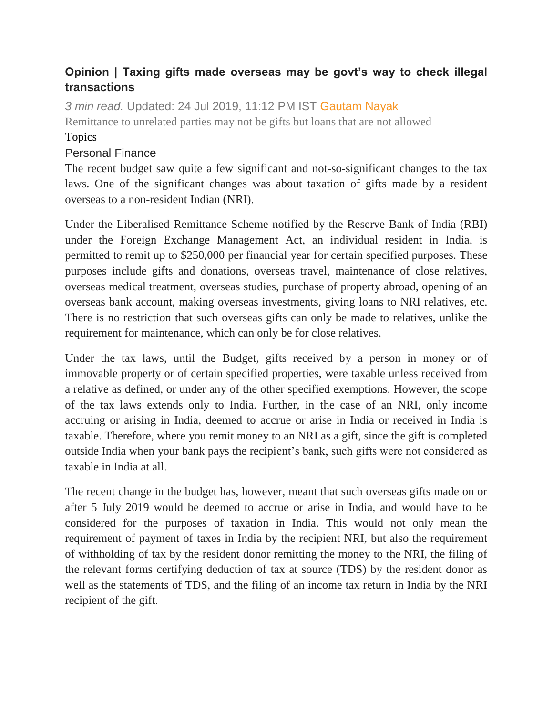## **Opinion | Taxing gifts made overseas may be govt's way to check illegal transactions**

*3 min read.* Updated: 24 Jul 2019, 11:12 PM IST [Gautam Nayak](https://www.livemint.com/Search/Link/Author/Gautam%20Nayak) Remittance to unrelated parties may not be gifts but loans that are not allowed Topics

## [Personal](https://www.livemint.com/topic/personal-finance) Finance

The recent budget saw quite a few significant and not-so-significant changes to the tax laws. One of the significant changes was about taxation of gifts made by a resident overseas to a non-resident Indian (NRI).

Under the Liberalised Remittance Scheme notified by the Reserve Bank of India (RBI) under the Foreign Exchange Management Act, an individual resident in India, is permitted to remit up to \$250,000 per financial year for certain specified purposes. These purposes include gifts and donations, overseas travel, maintenance of close relatives, overseas medical treatment, overseas studies, purchase of property abroad, opening of an overseas bank account, making overseas investments, giving loans to NRI relatives, etc. There is no restriction that such overseas gifts can only be made to relatives, unlike the requirement for maintenance, which can only be for close relatives.

Under the tax laws, until the Budget, gifts received by a person in money or of immovable property or of certain specified properties, were taxable unless received from a relative as defined, or under any of the other specified exemptions. However, the scope of the tax laws extends only to India. Further, in the case of an NRI, only income accruing or arising in India, deemed to accrue or arise in India or received in India is taxable. Therefore, where you remit money to an NRI as a gift, since the gift is completed outside India when your bank pays the recipient's bank, such gifts were not considered as taxable in India at all.

The recent change in the budget has, however, meant that such overseas gifts made on or after 5 July 2019 would be deemed to accrue or arise in India, and would have to be considered for the purposes of taxation in India. This would not only mean the requirement of payment of taxes in India by the recipient NRI, but also the requirement of withholding of tax by the resident donor remitting the money to the NRI, the filing of the relevant forms certifying deduction of tax at source (TDS) by the resident donor as well as the statements of TDS, and the filing of an income tax return in India by the NRI recipient of the gift.